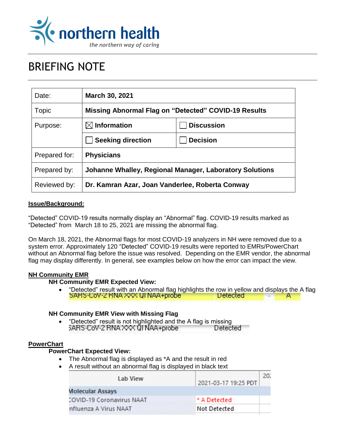

# BRIEFING NOTE

| Date:         | March 30, 2021                                                 |                   |
|---------------|----------------------------------------------------------------|-------------------|
| Topic         | <b>Missing Abnormal Flag on "Detected" COVID-19 Results</b>    |                   |
| Purpose:      | $\boxtimes$ Information                                        | <b>Discussion</b> |
|               | <b>Seeking direction</b>                                       | <b>Decision</b>   |
| Prepared for: | <b>Physicians</b>                                              |                   |
| Prepared by:  | <b>Johanne Whalley, Regional Manager, Laboratory Solutions</b> |                   |
| Reviewed by:  | Dr. Kamran Azar, Joan Vanderlee, Roberta Conway                |                   |

## **Issue/Background:**

"Detected" COVID-19 results normally display an "Abnormal" flag. COVID-19 results marked as "Detected" from March 18 to 25, 2021 are missing the abnormal flag.

On March 18, 2021, the Abnormal flags for most COVID-19 analyzers in NH were removed due to a system error. Approximately 120 "Detected" COVID-19 results were reported to EMRs/PowerChart without an Abnormal flag before the issue was resolved. Depending on the EMR vendor, the abnormal flag may display differently. In general, see examples below on how the error can impact the view.

#### **NH Community EMR**

## **NH Community EMR Expected View:**

"Detected" result with an Abnormal flag highlights the row in yellow and displays the A flag<br>5AH5-U0V-Z HNA XXX UI NAA+probe Detected д.

#### **NH Community EMR View with Missing Flag**

"Detected" result is not highlighted and the A flag is missing

## **PowerChart**

## **PowerChart Expected View:**

- The Abnormal flag is displayed as \*A and the result in red
- A result without an abnormal flag is displayed in black text

| Lab View                         | 2021-03-17 19:25 PDT |
|----------------------------------|----------------------|
| <b>Molecular Assays</b>          |                      |
| <b>COVID-19 Coronavirus NAAT</b> | * A Detected         |
| nfluenza A Virus NAAT            | Not Detected         |